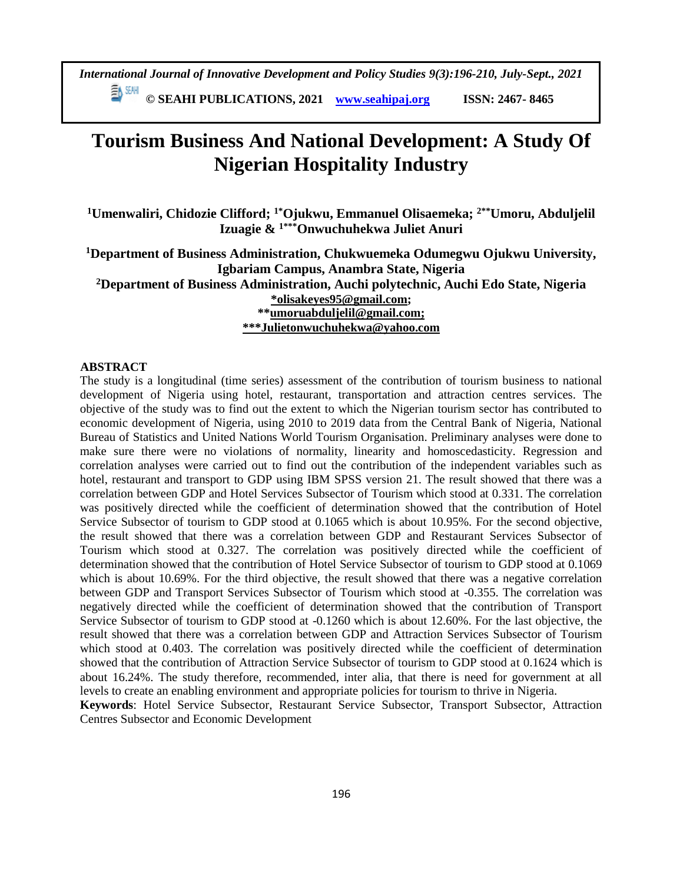**© SEAHI PUBLICATIONS, 2021 [www.seahipaj.org](http://www.seahipaj.org/) ISSN: 2467- 8465**

# **Tourism Business And National Development: A Study Of Nigerian Hospitality Industry**

**<sup>1</sup>Umenwaliri, Chidozie Clifford; 1\*Ojukwu, Emmanuel Olisaemeka; 2\*\*Umoru, Abduljelil Izuagie & 1\*\*\*Onwuchuhekwa Juliet Anuri**

**<sup>1</sup>Department of Business Administration, Chukwuemeka Odumegwu Ojukwu University, Igbariam Campus, Anambra State, Nigeria**

**<sup>2</sup>Department of Business Administration, Auchi polytechnic, Auchi Edo State, Nigeria [\\*olisakeyes95@gmail.com;](mailto:*olisakeyes95@gmail.com)**

**\*[\\*umoruabduljelil@gmail.com;](mailto:umoruabduljelil@gmail.com) \*\*\*Julietonwuchuhekwa@yahoo.com**

## **ABSTRACT**

The study is a longitudinal (time series) assessment of the contribution of tourism business to national development of Nigeria using hotel, restaurant, transportation and attraction centres services. The objective of the study was to find out the extent to which the Nigerian tourism sector has contributed to economic development of Nigeria, using 2010 to 2019 data from the Central Bank of Nigeria, National Bureau of Statistics and United Nations World Tourism Organisation. Preliminary analyses were done to make sure there were no violations of normality, linearity and homoscedasticity. Regression and correlation analyses were carried out to find out the contribution of the independent variables such as hotel, restaurant and transport to GDP using IBM SPSS version 21. The result showed that there was a correlation between GDP and Hotel Services Subsector of Tourism which stood at 0.331. The correlation was positively directed while the coefficient of determination showed that the contribution of Hotel Service Subsector of tourism to GDP stood at 0.1065 which is about 10.95%. For the second objective, the result showed that there was a correlation between GDP and Restaurant Services Subsector of Tourism which stood at 0.327. The correlation was positively directed while the coefficient of determination showed that the contribution of Hotel Service Subsector of tourism to GDP stood at 0.1069 which is about 10.69%. For the third objective, the result showed that there was a negative correlation between GDP and Transport Services Subsector of Tourism which stood at -0.355. The correlation was negatively directed while the coefficient of determination showed that the contribution of Transport Service Subsector of tourism to GDP stood at -0.1260 which is about 12.60%. For the last objective, the result showed that there was a correlation between GDP and Attraction Services Subsector of Tourism which stood at 0.403. The correlation was positively directed while the coefficient of determination showed that the contribution of Attraction Service Subsector of tourism to GDP stood at 0.1624 which is about 16.24%. The study therefore, recommended, inter alia, that there is need for government at all levels to create an enabling environment and appropriate policies for tourism to thrive in Nigeria.

**Keywords**: Hotel Service Subsector, Restaurant Service Subsector, Transport Subsector, Attraction Centres Subsector and Economic Development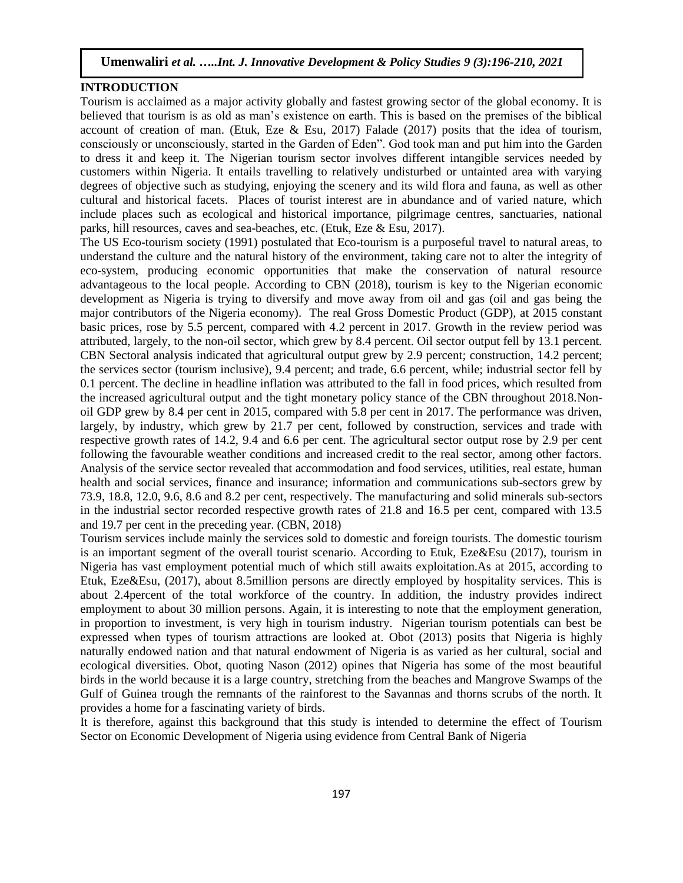#### **INTRODUCTION**

Tourism is acclaimed as a major activity globally and fastest growing sector of the global economy. It is believed that tourism is as old as man's existence on earth. This is based on the premises of the biblical account of creation of man. (Etuk, Eze & Esu, 2017) Falade (2017) posits that the idea of tourism, consciously or unconsciously, started in the Garden of Eden". God took man and put him into the Garden to dress it and keep it. The Nigerian tourism sector involves different intangible services needed by customers within Nigeria. It entails travelling to relatively undisturbed or untainted area with varying degrees of objective such as studying, enjoying the scenery and its wild flora and fauna, as well as other cultural and historical facets. Places of tourist interest are in abundance and of varied nature, which include places such as ecological and historical importance, pilgrimage centres, sanctuaries, national parks, hill resources, caves and sea-beaches, etc. (Etuk, Eze & Esu, 2017).

The US Eco-tourism society (1991) postulated that Eco-tourism is a purposeful travel to natural areas, to understand the culture and the natural history of the environment, taking care not to alter the integrity of eco-system, producing economic opportunities that make the conservation of natural resource advantageous to the local people. According to CBN (2018), tourism is key to the Nigerian economic development as Nigeria is trying to diversify and move away from oil and gas (oil and gas being the major contributors of the Nigeria economy). The real Gross Domestic Product (GDP), at 2015 constant basic prices, rose by 5.5 percent, compared with 4.2 percent in 2017. Growth in the review period was attributed, largely, to the non-oil sector, which grew by 8.4 percent. Oil sector output fell by 13.1 percent. CBN Sectoral analysis indicated that agricultural output grew by 2.9 percent; construction, 14.2 percent; the services sector (tourism inclusive), 9.4 percent; and trade, 6.6 percent, while; industrial sector fell by 0.1 percent. The decline in headline inflation was attributed to the fall in food prices, which resulted from the increased agricultural output and the tight monetary policy stance of the CBN throughout 2018.Nonoil GDP grew by 8.4 per cent in 2015, compared with 5.8 per cent in 2017. The performance was driven, largely, by industry, which grew by 21.7 per cent, followed by construction, services and trade with respective growth rates of 14.2, 9.4 and 6.6 per cent. The agricultural sector output rose by 2.9 per cent following the favourable weather conditions and increased credit to the real sector, among other factors. Analysis of the service sector revealed that accommodation and food services, utilities, real estate, human health and social services, finance and insurance; information and communications sub-sectors grew by 73.9, 18.8, 12.0, 9.6, 8.6 and 8.2 per cent, respectively. The manufacturing and solid minerals sub-sectors in the industrial sector recorded respective growth rates of 21.8 and 16.5 per cent, compared with 13.5 and 19.7 per cent in the preceding year. (CBN, 2018)

Tourism services include mainly the services sold to domestic and foreign tourists. The domestic tourism is an important segment of the overall tourist scenario. According to Etuk, Eze&Esu (2017), tourism in Nigeria has vast employment potential much of which still awaits exploitation.As at 2015, according to Etuk, Eze&Esu, (2017), about 8.5million persons are directly employed by hospitality services. This is about 2.4percent of the total workforce of the country. In addition, the industry provides indirect employment to about 30 million persons. Again, it is interesting to note that the employment generation, in proportion to investment, is very high in tourism industry. Nigerian tourism potentials can best be expressed when types of tourism attractions are looked at. Obot (2013) posits that Nigeria is highly naturally endowed nation and that natural endowment of Nigeria is as varied as her cultural, social and ecological diversities. Obot, quoting Nason (2012) opines that Nigeria has some of the most beautiful birds in the world because it is a large country, stretching from the beaches and Mangrove Swamps of the Gulf of Guinea trough the remnants of the rainforest to the Savannas and thorns scrubs of the north. It provides a home for a fascinating variety of birds.

It is therefore, against this background that this study is intended to determine the effect of Tourism Sector on Economic Development of Nigeria using evidence from Central Bank of Nigeria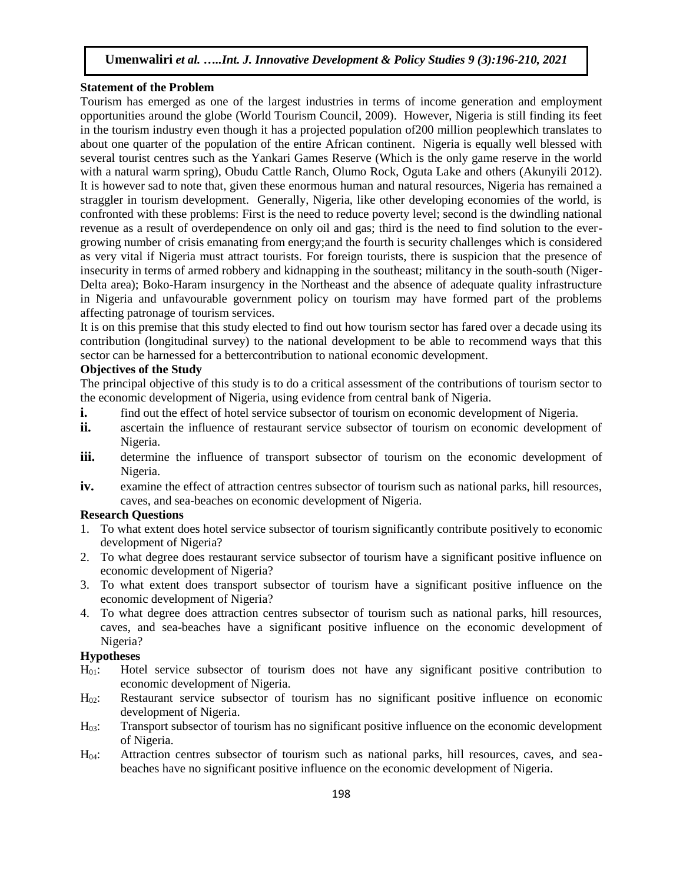## **Statement of the Problem**

Tourism has emerged as one of the largest industries in terms of income generation and employment opportunities around the globe (World Tourism Council, 2009). However, Nigeria is still finding its feet in the tourism industry even though it has a projected population of200 million peoplewhich translates to about one quarter of the population of the entire African continent. Nigeria is equally well blessed with several tourist centres such as the Yankari Games Reserve (Which is the only game reserve in the world with a natural warm spring), Obudu Cattle Ranch, Olumo Rock, Oguta Lake and others (Akunyili 2012). It is however sad to note that, given these enormous human and natural resources, Nigeria has remained a straggler in tourism development. Generally, Nigeria, like other developing economies of the world, is confronted with these problems: First is the need to reduce poverty level; second is the dwindling national revenue as a result of overdependence on only oil and gas; third is the need to find solution to the evergrowing number of crisis emanating from energy;and the fourth is security challenges which is considered as very vital if Nigeria must attract tourists. For foreign tourists, there is suspicion that the presence of insecurity in terms of armed robbery and kidnapping in the southeast; militancy in the south-south (Niger-Delta area); Boko-Haram insurgency in the Northeast and the absence of adequate quality infrastructure in Nigeria and unfavourable government policy on tourism may have formed part of the problems affecting patronage of tourism services.

It is on this premise that this study elected to find out how tourism sector has fared over a decade using its contribution (longitudinal survey) to the national development to be able to recommend ways that this sector can be harnessed for a bettercontribution to national economic development.

## **Objectives of the Study**

The principal objective of this study is to do a critical assessment of the contributions of tourism sector to the economic development of Nigeria, using evidence from central bank of Nigeria.

- **i.** find out the effect of hotel service subsector of tourism on economic development of Nigeria.
- **ii.** ascertain the influence of restaurant service subsector of tourism on economic development of Nigeria.
- **iii.** determine the influence of transport subsector of tourism on the economic development of Nigeria.
- **iv.** examine the effect of attraction centres subsector of tourism such as national parks, hill resources, caves, and sea-beaches on economic development of Nigeria.

# **Research Questions**

- 1. To what extent does hotel service subsector of tourism significantly contribute positively to economic development of Nigeria?
- 2. To what degree does restaurant service subsector of tourism have a significant positive influence on economic development of Nigeria?
- 3. To what extent does transport subsector of tourism have a significant positive influence on the economic development of Nigeria?
- 4. To what degree does attraction centres subsector of tourism such as national parks, hill resources, caves, and sea-beaches have a significant positive influence on the economic development of Nigeria?

# **Hypotheses**

- H01: Hotel service subsector of tourism does not have any significant positive contribution to economic development of Nigeria.
- H<sub>02</sub>: Restaurant service subsector of tourism has no significant positive influence on economic development of Nigeria.
- H03: Transport subsector of tourism has no significant positive influence on the economic development of Nigeria.
- H04: Attraction centres subsector of tourism such as national parks, hill resources, caves, and seabeaches have no significant positive influence on the economic development of Nigeria.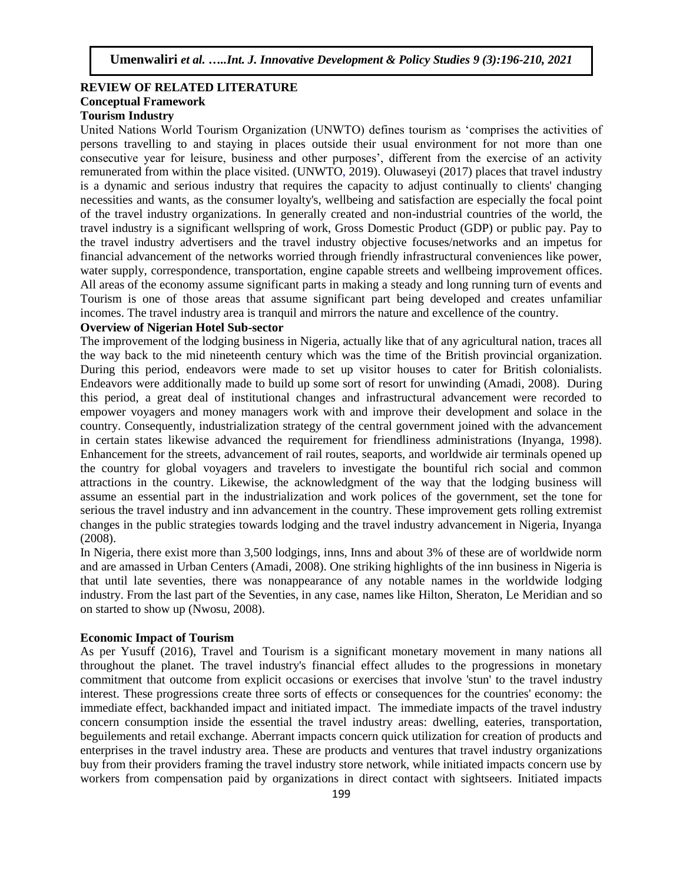## **REVIEW OF RELATED LITERATURE Conceptual Framework Tourism Industry**

United Nations World Tourism Organization (UNWTO) defines tourism as 'comprises the activities of persons travelling to and staying in places outside their usual environment for not more than one consecutive year for leisure, business and other purposes', different from the exercise of an activity remunerated from within the place visited. (UNWTO, 2019). Oluwaseyi (2017) places that travel industry is a dynamic and serious industry that requires the capacity to adjust continually to clients' changing necessities and wants, as the consumer loyalty's, wellbeing and satisfaction are especially the focal point of the travel industry organizations. In generally created and non-industrial countries of the world, the travel industry is a significant wellspring of work, Gross Domestic Product (GDP) or public pay. Pay to the travel industry advertisers and the travel industry objective focuses/networks and an impetus for financial advancement of the networks worried through friendly infrastructural conveniences like power, water supply, correspondence, transportation, engine capable streets and wellbeing improvement offices. All areas of the economy assume significant parts in making a steady and long running turn of events and Tourism is one of those areas that assume significant part being developed and creates unfamiliar incomes. The travel industry area is tranquil and mirrors the nature and excellence of the country.

#### **Overview of Nigerian Hotel Sub-sector**

The improvement of the lodging business in Nigeria, actually like that of any agricultural nation, traces all the way back to the mid nineteenth century which was the time of the British provincial organization. During this period, endeavors were made to set up visitor houses to cater for British colonialists. Endeavors were additionally made to build up some sort of resort for unwinding (Amadi, 2008). During this period, a great deal of institutional changes and infrastructural advancement were recorded to empower voyagers and money managers work with and improve their development and solace in the country. Consequently, industrialization strategy of the central government joined with the advancement in certain states likewise advanced the requirement for friendliness administrations (Inyanga, 1998). Enhancement for the streets, advancement of rail routes, seaports, and worldwide air terminals opened up the country for global voyagers and travelers to investigate the bountiful rich social and common attractions in the country. Likewise, the acknowledgment of the way that the lodging business will assume an essential part in the industrialization and work polices of the government, set the tone for serious the travel industry and inn advancement in the country. These improvement gets rolling extremist changes in the public strategies towards lodging and the travel industry advancement in Nigeria, Inyanga (2008).

In Nigeria, there exist more than 3,500 lodgings, inns, Inns and about 3% of these are of worldwide norm and are amassed in Urban Centers (Amadi, 2008). One striking highlights of the inn business in Nigeria is that until late seventies, there was nonappearance of any notable names in the worldwide lodging industry. From the last part of the Seventies, in any case, names like Hilton, Sheraton, Le Meridian and so on started to show up (Nwosu, 2008).

#### **Economic Impact of Tourism**

As per Yusuff (2016), Travel and Tourism is a significant monetary movement in many nations all throughout the planet. The travel industry's financial effect alludes to the progressions in monetary commitment that outcome from explicit occasions or exercises that involve 'stun' to the travel industry interest. These progressions create three sorts of effects or consequences for the countries' economy: the immediate effect, backhanded impact and initiated impact. The immediate impacts of the travel industry concern consumption inside the essential the travel industry areas: dwelling, eateries, transportation, beguilements and retail exchange. Aberrant impacts concern quick utilization for creation of products and enterprises in the travel industry area. These are products and ventures that travel industry organizations buy from their providers framing the travel industry store network, while initiated impacts concern use by workers from compensation paid by organizations in direct contact with sightseers. Initiated impacts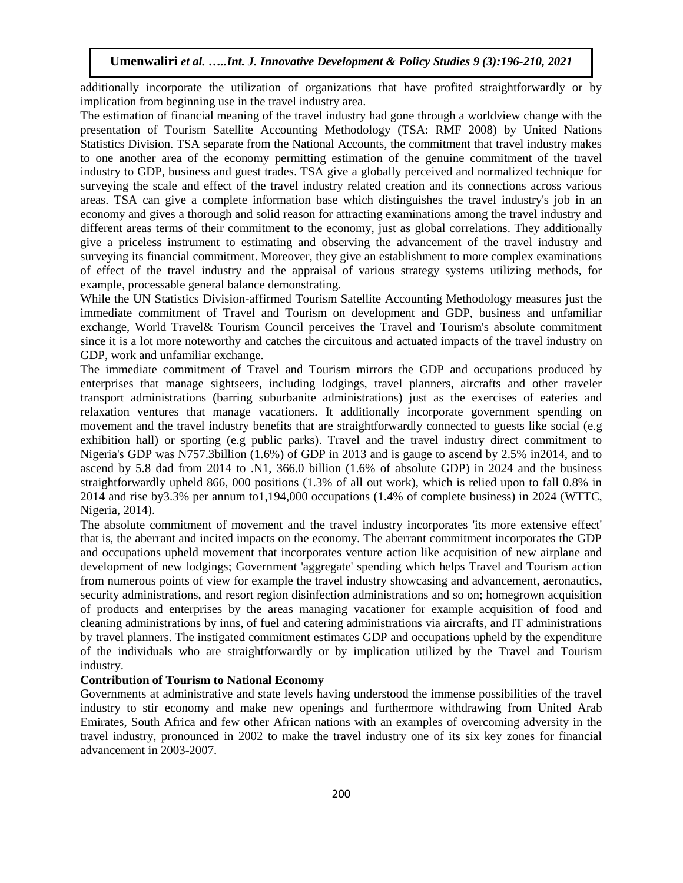additionally incorporate the utilization of organizations that have profited straightforwardly or by implication from beginning use in the travel industry area.

The estimation of financial meaning of the travel industry had gone through a worldview change with the presentation of Tourism Satellite Accounting Methodology (TSA: RMF 2008) by United Nations Statistics Division. TSA separate from the National Accounts, the commitment that travel industry makes to one another area of the economy permitting estimation of the genuine commitment of the travel industry to GDP, business and guest trades. TSA give a globally perceived and normalized technique for surveying the scale and effect of the travel industry related creation and its connections across various areas. TSA can give a complete information base which distinguishes the travel industry's job in an economy and gives a thorough and solid reason for attracting examinations among the travel industry and different areas terms of their commitment to the economy, just as global correlations. They additionally give a priceless instrument to estimating and observing the advancement of the travel industry and surveying its financial commitment. Moreover, they give an establishment to more complex examinations of effect of the travel industry and the appraisal of various strategy systems utilizing methods, for example, processable general balance demonstrating.

While the UN Statistics Division-affirmed Tourism Satellite Accounting Methodology measures just the immediate commitment of Travel and Tourism on development and GDP, business and unfamiliar exchange, World Travel& Tourism Council perceives the Travel and Tourism's absolute commitment since it is a lot more noteworthy and catches the circuitous and actuated impacts of the travel industry on GDP, work and unfamiliar exchange.

The immediate commitment of Travel and Tourism mirrors the GDP and occupations produced by enterprises that manage sightseers, including lodgings, travel planners, aircrafts and other traveler transport administrations (barring suburbanite administrations) just as the exercises of eateries and relaxation ventures that manage vacationers. It additionally incorporate government spending on movement and the travel industry benefits that are straightforwardly connected to guests like social (e.g exhibition hall) or sporting (e.g public parks). Travel and the travel industry direct commitment to Nigeria's GDP was N757.3billion (1.6%) of GDP in 2013 and is gauge to ascend by 2.5% in2014, and to ascend by 5.8 dad from 2014 to .N1, 366.0 billion (1.6% of absolute GDP) in 2024 and the business straightforwardly upheld 866, 000 positions (1.3% of all out work), which is relied upon to fall 0.8% in 2014 and rise by3.3% per annum to1,194,000 occupations (1.4% of complete business) in 2024 (WTTC, Nigeria, 2014).

The absolute commitment of movement and the travel industry incorporates 'its more extensive effect' that is, the aberrant and incited impacts on the economy. The aberrant commitment incorporates the GDP and occupations upheld movement that incorporates venture action like acquisition of new airplane and development of new lodgings; Government 'aggregate' spending which helps Travel and Tourism action from numerous points of view for example the travel industry showcasing and advancement, aeronautics, security administrations, and resort region disinfection administrations and so on; homegrown acquisition of products and enterprises by the areas managing vacationer for example acquisition of food and cleaning administrations by inns, of fuel and catering administrations via aircrafts, and IT administrations by travel planners. The instigated commitment estimates GDP and occupations upheld by the expenditure of the individuals who are straightforwardly or by implication utilized by the Travel and Tourism industry.

# **Contribution of Tourism to National Economy**

Governments at administrative and state levels having understood the immense possibilities of the travel industry to stir economy and make new openings and furthermore withdrawing from United Arab Emirates, South Africa and few other African nations with an examples of overcoming adversity in the travel industry, pronounced in 2002 to make the travel industry one of its six key zones for financial advancement in 2003-2007.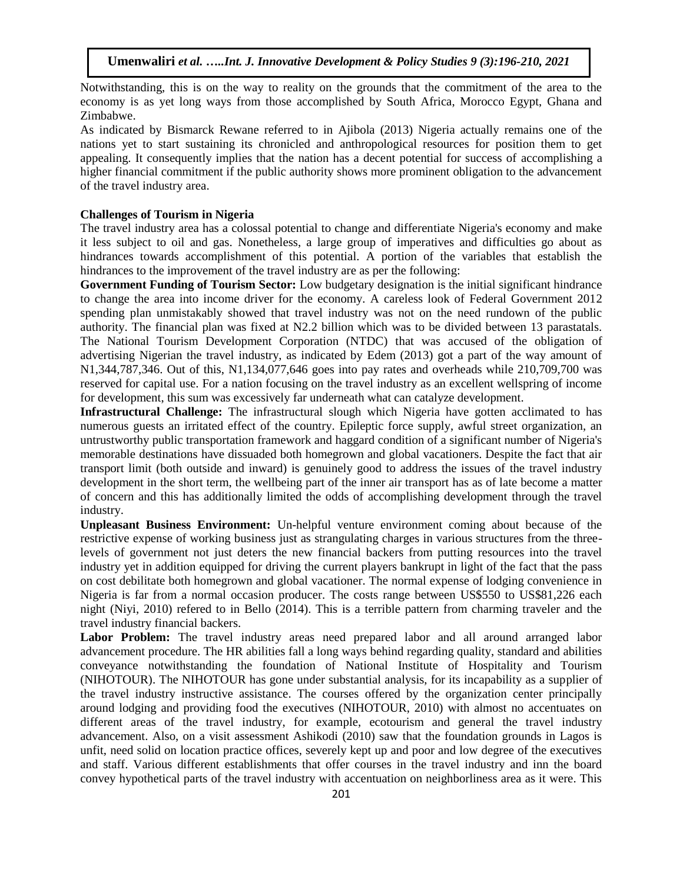Notwithstanding, this is on the way to reality on the grounds that the commitment of the area to the economy is as yet long ways from those accomplished by South Africa, Morocco Egypt, Ghana and Zimbabwe.

As indicated by Bismarck Rewane referred to in Ajibola (2013) Nigeria actually remains one of the nations yet to start sustaining its chronicled and anthropological resources for position them to get appealing. It consequently implies that the nation has a decent potential for success of accomplishing a higher financial commitment if the public authority shows more prominent obligation to the advancement of the travel industry area.

#### **Challenges of Tourism in Nigeria**

The travel industry area has a colossal potential to change and differentiate Nigeria's economy and make it less subject to oil and gas. Nonetheless, a large group of imperatives and difficulties go about as hindrances towards accomplishment of this potential. A portion of the variables that establish the hindrances to the improvement of the travel industry are as per the following:

**Government Funding of Tourism Sector:** Low budgetary designation is the initial significant hindrance to change the area into income driver for the economy. A careless look of Federal Government 2012 spending plan unmistakably showed that travel industry was not on the need rundown of the public authority. The financial plan was fixed at N2.2 billion which was to be divided between 13 parastatals. The National Tourism Development Corporation (NTDC) that was accused of the obligation of advertising Nigerian the travel industry, as indicated by Edem (2013) got a part of the way amount of N1,344,787,346. Out of this, N1,134,077,646 goes into pay rates and overheads while 210,709,700 was reserved for capital use. For a nation focusing on the travel industry as an excellent wellspring of income for development, this sum was excessively far underneath what can catalyze development.

**Infrastructural Challenge:** The infrastructural slough which Nigeria have gotten acclimated to has numerous guests an irritated effect of the country. Epileptic force supply, awful street organization, an untrustworthy public transportation framework and haggard condition of a significant number of Nigeria's memorable destinations have dissuaded both homegrown and global vacationers. Despite the fact that air transport limit (both outside and inward) is genuinely good to address the issues of the travel industry development in the short term, the wellbeing part of the inner air transport has as of late become a matter of concern and this has additionally limited the odds of accomplishing development through the travel industry.

**Unpleasant Business Environment:** Un-helpful venture environment coming about because of the restrictive expense of working business just as strangulating charges in various structures from the threelevels of government not just deters the new financial backers from putting resources into the travel industry yet in addition equipped for driving the current players bankrupt in light of the fact that the pass on cost debilitate both homegrown and global vacationer. The normal expense of lodging convenience in Nigeria is far from a normal occasion producer. The costs range between US\$550 to US\$81,226 each night (Niyi, 2010) refered to in Bello (2014). This is a terrible pattern from charming traveler and the travel industry financial backers.

Labor Problem: The travel industry areas need prepared labor and all around arranged labor advancement procedure. The HR abilities fall a long ways behind regarding quality, standard and abilities conveyance notwithstanding the foundation of National Institute of Hospitality and Tourism (NIHOTOUR). The NIHOTOUR has gone under substantial analysis, for its incapability as a supplier of the travel industry instructive assistance. The courses offered by the organization center principally around lodging and providing food the executives (NIHOTOUR, 2010) with almost no accentuates on different areas of the travel industry, for example, ecotourism and general the travel industry advancement. Also, on a visit assessment Ashikodi (2010) saw that the foundation grounds in Lagos is unfit, need solid on location practice offices, severely kept up and poor and low degree of the executives and staff. Various different establishments that offer courses in the travel industry and inn the board convey hypothetical parts of the travel industry with accentuation on neighborliness area as it were. This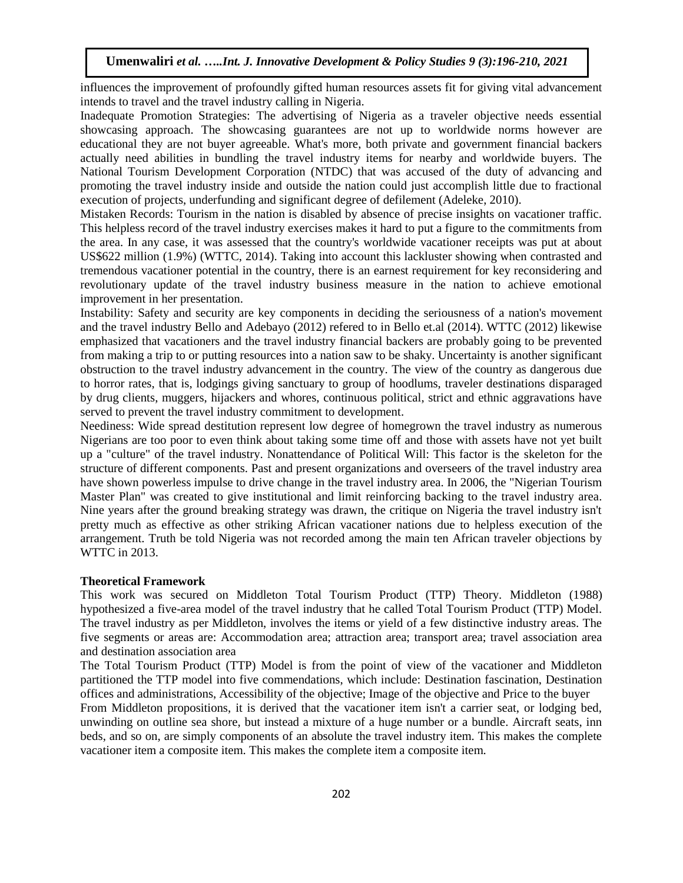influences the improvement of profoundly gifted human resources assets fit for giving vital advancement intends to travel and the travel industry calling in Nigeria.

Inadequate Promotion Strategies: The advertising of Nigeria as a traveler objective needs essential showcasing approach. The showcasing guarantees are not up to worldwide norms however are educational they are not buyer agreeable. What's more, both private and government financial backers actually need abilities in bundling the travel industry items for nearby and worldwide buyers. The National Tourism Development Corporation (NTDC) that was accused of the duty of advancing and promoting the travel industry inside and outside the nation could just accomplish little due to fractional execution of projects, underfunding and significant degree of defilement (Adeleke, 2010).

Mistaken Records: Tourism in the nation is disabled by absence of precise insights on vacationer traffic. This helpless record of the travel industry exercises makes it hard to put a figure to the commitments from the area. In any case, it was assessed that the country's worldwide vacationer receipts was put at about US\$622 million (1.9%) (WTTC, 2014). Taking into account this lackluster showing when contrasted and tremendous vacationer potential in the country, there is an earnest requirement for key reconsidering and revolutionary update of the travel industry business measure in the nation to achieve emotional improvement in her presentation.

Instability: Safety and security are key components in deciding the seriousness of a nation's movement and the travel industry Bello and Adebayo (2012) refered to in Bello et.al (2014). WTTC (2012) likewise emphasized that vacationers and the travel industry financial backers are probably going to be prevented from making a trip to or putting resources into a nation saw to be shaky. Uncertainty is another significant obstruction to the travel industry advancement in the country. The view of the country as dangerous due to horror rates, that is, lodgings giving sanctuary to group of hoodlums, traveler destinations disparaged by drug clients, muggers, hijackers and whores, continuous political, strict and ethnic aggravations have served to prevent the travel industry commitment to development.

Neediness: Wide spread destitution represent low degree of homegrown the travel industry as numerous Nigerians are too poor to even think about taking some time off and those with assets have not yet built up a "culture" of the travel industry. Nonattendance of Political Will: This factor is the skeleton for the structure of different components. Past and present organizations and overseers of the travel industry area have shown powerless impulse to drive change in the travel industry area. In 2006, the "Nigerian Tourism Master Plan" was created to give institutional and limit reinforcing backing to the travel industry area. Nine years after the ground breaking strategy was drawn, the critique on Nigeria the travel industry isn't pretty much as effective as other striking African vacationer nations due to helpless execution of the arrangement. Truth be told Nigeria was not recorded among the main ten African traveler objections by WTTC in 2013.

#### **Theoretical Framework**

This work was secured on Middleton Total Tourism Product (TTP) Theory. Middleton (1988) hypothesized a five-area model of the travel industry that he called Total Tourism Product (TTP) Model. The travel industry as per Middleton, involves the items or yield of a few distinctive industry areas. The five segments or areas are: Accommodation area; attraction area; transport area; travel association area and destination association area

The Total Tourism Product (TTP) Model is from the point of view of the vacationer and Middleton partitioned the TTP model into five commendations, which include: Destination fascination, Destination offices and administrations, Accessibility of the objective; Image of the objective and Price to the buyer

From Middleton propositions, it is derived that the vacationer item isn't a carrier seat, or lodging bed, unwinding on outline sea shore, but instead a mixture of a huge number or a bundle. Aircraft seats, inn beds, and so on, are simply components of an absolute the travel industry item. This makes the complete vacationer item a composite item. This makes the complete item a composite item.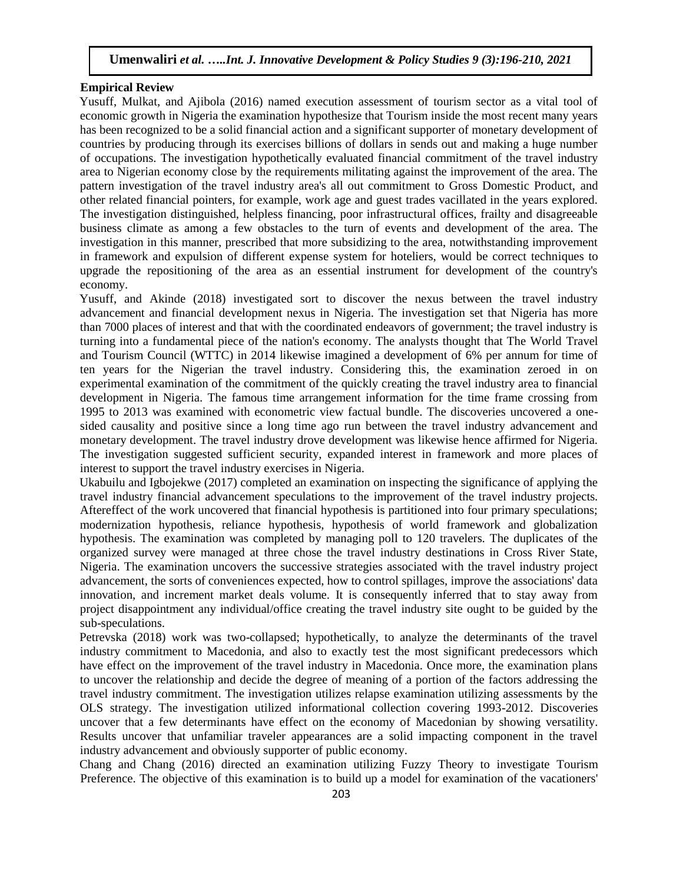#### **Empirical Review**

Yusuff, Mulkat, and Ajibola (2016) named execution assessment of tourism sector as a vital tool of economic growth in Nigeria the examination hypothesize that Tourism inside the most recent many years has been recognized to be a solid financial action and a significant supporter of monetary development of countries by producing through its exercises billions of dollars in sends out and making a huge number of occupations. The investigation hypothetically evaluated financial commitment of the travel industry area to Nigerian economy close by the requirements militating against the improvement of the area. The pattern investigation of the travel industry area's all out commitment to Gross Domestic Product, and other related financial pointers, for example, work age and guest trades vacillated in the years explored. The investigation distinguished, helpless financing, poor infrastructural offices, frailty and disagreeable business climate as among a few obstacles to the turn of events and development of the area. The investigation in this manner, prescribed that more subsidizing to the area, notwithstanding improvement in framework and expulsion of different expense system for hoteliers, would be correct techniques to upgrade the repositioning of the area as an essential instrument for development of the country's economy.

Yusuff, and Akinde (2018) investigated sort to discover the nexus between the travel industry advancement and financial development nexus in Nigeria. The investigation set that Nigeria has more than 7000 places of interest and that with the coordinated endeavors of government; the travel industry is turning into a fundamental piece of the nation's economy. The analysts thought that The World Travel and Tourism Council (WTTC) in 2014 likewise imagined a development of 6% per annum for time of ten years for the Nigerian the travel industry. Considering this, the examination zeroed in on experimental examination of the commitment of the quickly creating the travel industry area to financial development in Nigeria. The famous time arrangement information for the time frame crossing from 1995 to 2013 was examined with econometric view factual bundle. The discoveries uncovered a onesided causality and positive since a long time ago run between the travel industry advancement and monetary development. The travel industry drove development was likewise hence affirmed for Nigeria. The investigation suggested sufficient security, expanded interest in framework and more places of interest to support the travel industry exercises in Nigeria.

Ukabuilu and Igbojekwe (2017) completed an examination on inspecting the significance of applying the travel industry financial advancement speculations to the improvement of the travel industry projects. Aftereffect of the work uncovered that financial hypothesis is partitioned into four primary speculations; modernization hypothesis, reliance hypothesis, hypothesis of world framework and globalization hypothesis. The examination was completed by managing poll to 120 travelers. The duplicates of the organized survey were managed at three chose the travel industry destinations in Cross River State, Nigeria. The examination uncovers the successive strategies associated with the travel industry project advancement, the sorts of conveniences expected, how to control spillages, improve the associations' data innovation, and increment market deals volume. It is consequently inferred that to stay away from project disappointment any individual/office creating the travel industry site ought to be guided by the sub-speculations.

Petrevska (2018) work was two-collapsed; hypothetically, to analyze the determinants of the travel industry commitment to Macedonia, and also to exactly test the most significant predecessors which have effect on the improvement of the travel industry in Macedonia. Once more, the examination plans to uncover the relationship and decide the degree of meaning of a portion of the factors addressing the travel industry commitment. The investigation utilizes relapse examination utilizing assessments by the OLS strategy. The investigation utilized informational collection covering 1993-2012. Discoveries uncover that a few determinants have effect on the economy of Macedonian by showing versatility. Results uncover that unfamiliar traveler appearances are a solid impacting component in the travel industry advancement and obviously supporter of public economy.

Chang and Chang (2016) directed an examination utilizing Fuzzy Theory to investigate Tourism Preference. The objective of this examination is to build up a model for examination of the vacationers'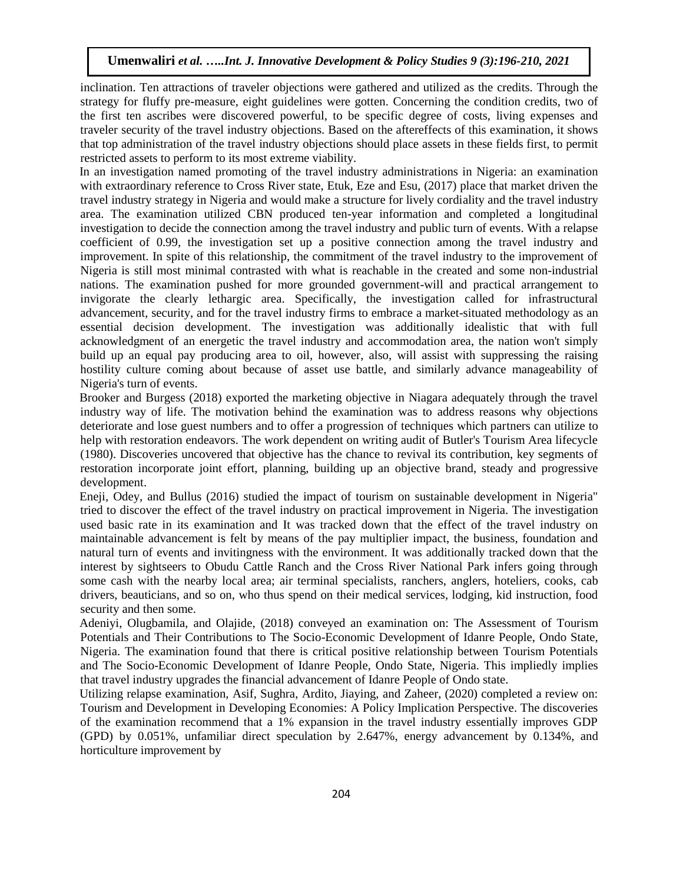inclination. Ten attractions of traveler objections were gathered and utilized as the credits. Through the strategy for fluffy pre-measure, eight guidelines were gotten. Concerning the condition credits, two of the first ten ascribes were discovered powerful, to be specific degree of costs, living expenses and traveler security of the travel industry objections. Based on the aftereffects of this examination, it shows that top administration of the travel industry objections should place assets in these fields first, to permit restricted assets to perform to its most extreme viability.

In an investigation named promoting of the travel industry administrations in Nigeria: an examination with extraordinary reference to Cross River state, Etuk, Eze and Esu, (2017) place that market driven the travel industry strategy in Nigeria and would make a structure for lively cordiality and the travel industry area. The examination utilized CBN produced ten-year information and completed a longitudinal investigation to decide the connection among the travel industry and public turn of events. With a relapse coefficient of 0.99, the investigation set up a positive connection among the travel industry and improvement. In spite of this relationship, the commitment of the travel industry to the improvement of Nigeria is still most minimal contrasted with what is reachable in the created and some non-industrial nations. The examination pushed for more grounded government-will and practical arrangement to invigorate the clearly lethargic area. Specifically, the investigation called for infrastructural advancement, security, and for the travel industry firms to embrace a market-situated methodology as an essential decision development. The investigation was additionally idealistic that with full acknowledgment of an energetic the travel industry and accommodation area, the nation won't simply build up an equal pay producing area to oil, however, also, will assist with suppressing the raising hostility culture coming about because of asset use battle, and similarly advance manageability of Nigeria's turn of events.

Brooker and Burgess (2018) exported the marketing objective in Niagara adequately through the travel industry way of life. The motivation behind the examination was to address reasons why objections deteriorate and lose guest numbers and to offer a progression of techniques which partners can utilize to help with restoration endeavors. The work dependent on writing audit of Butler's Tourism Area lifecycle (1980). Discoveries uncovered that objective has the chance to revival its contribution, key segments of restoration incorporate joint effort, planning, building up an objective brand, steady and progressive development.

Eneji, Odey, and Bullus (2016) studied the impact of tourism on sustainable development in Nigeria" tried to discover the effect of the travel industry on practical improvement in Nigeria. The investigation used basic rate in its examination and It was tracked down that the effect of the travel industry on maintainable advancement is felt by means of the pay multiplier impact, the business, foundation and natural turn of events and invitingness with the environment. It was additionally tracked down that the interest by sightseers to Obudu Cattle Ranch and the Cross River National Park infers going through some cash with the nearby local area; air terminal specialists, ranchers, anglers, hoteliers, cooks, cab drivers, beauticians, and so on, who thus spend on their medical services, lodging, kid instruction, food security and then some.

Adeniyi, Olugbamila, and Olajide, (2018) conveyed an examination on: The Assessment of Tourism Potentials and Their Contributions to The Socio-Economic Development of Idanre People, Ondo State, Nigeria. The examination found that there is critical positive relationship between Tourism Potentials and The Socio-Economic Development of Idanre People, Ondo State, Nigeria. This impliedly implies that travel industry upgrades the financial advancement of Idanre People of Ondo state.

Utilizing relapse examination, Asif, Sughra, Ardito, Jiaying, and Zaheer, (2020) completed a review on: Tourism and Development in Developing Economies: A Policy Implication Perspective. The discoveries of the examination recommend that a 1% expansion in the travel industry essentially improves GDP (GPD) by 0.051%, unfamiliar direct speculation by 2.647%, energy advancement by 0.134%, and horticulture improvement by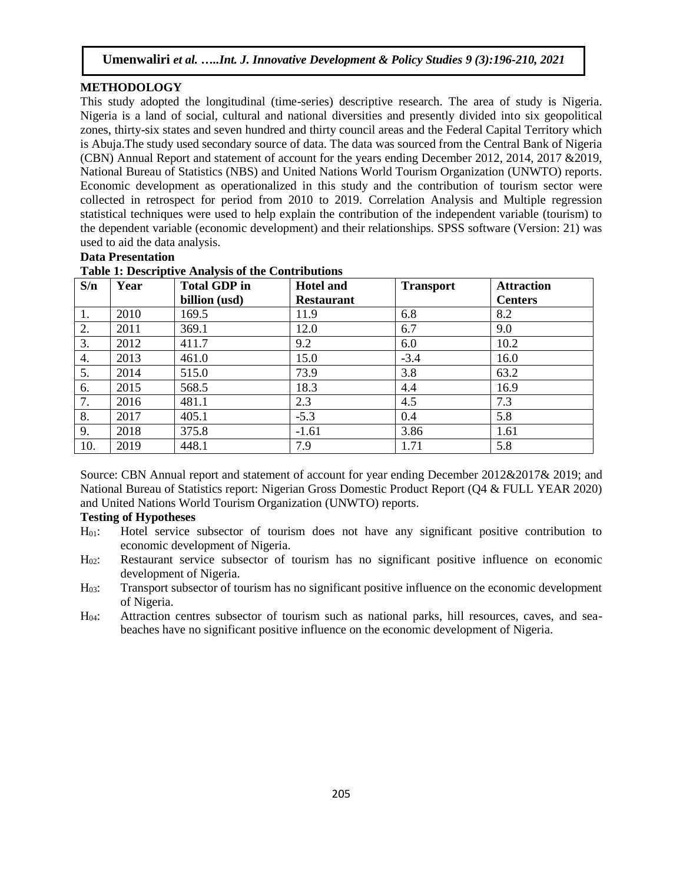### **METHODOLOGY**

This study adopted the longitudinal (time-series) descriptive research. The area of study is Nigeria. Nigeria is a land of social, cultural and national diversities and presently divided into six geopolitical zones, thirty-six states and seven hundred and thirty council areas and the Federal Capital Territory which is Abuja.The study used secondary source of data. The data was sourced from the Central Bank of Nigeria (CBN) Annual Report and statement of account for the years ending December 2012, 2014, 2017 &2019, National Bureau of Statistics (NBS) and United Nations World Tourism Organization (UNWTO) reports. Economic development as operationalized in this study and the contribution of tourism sector were collected in retrospect for period from 2010 to 2019. Correlation Analysis and Multiple regression statistical techniques were used to help explain the contribution of the independent variable (tourism) to the dependent variable (economic development) and their relationships. SPSS software (Version: 21) was used to aid the data analysis.

# **Data Presentation**

| S/n | Year | <b>Total GDP</b> in | <b>Hotel and</b>  | <b>Transport</b> | <b>Attraction</b> |
|-----|------|---------------------|-------------------|------------------|-------------------|
|     |      | billion (usd)       | <b>Restaurant</b> |                  | <b>Centers</b>    |
| 1.  | 2010 | 169.5               | 11.9              | 6.8              | 8.2               |
| 2.  | 2011 | 369.1               | 12.0              | 6.7              | 9.0               |
| 3.  | 2012 | 411.7               | 9.2               | 6.0              | 10.2              |
| 4.  | 2013 | 461.0               | 15.0              | $-3.4$           | 16.0              |
| 5.  | 2014 | 515.0               | 73.9              | 3.8              | 63.2              |
| 6.  | 2015 | 568.5               | 18.3              | 4.4              | 16.9              |
| 7.  | 2016 | 481.1               | 2.3               | 4.5              | 7.3               |
| 8.  | 2017 | 405.1               | $-5.3$            | 0.4              | 5.8               |
| 9.  | 2018 | 375.8               | $-1.61$           | 3.86             | 1.61              |
| 10. | 2019 | 448.1               | 7.9               | 1.71             | 5.8               |

## **Table 1: Descriptive Analysis of the Contributions**

Source: CBN Annual report and statement of account for year ending December 2012&2017& 2019; and National Bureau of Statistics report: Nigerian Gross Domestic Product Report (Q4 & FULL YEAR 2020) and United Nations World Tourism Organization (UNWTO) reports.

#### **Testing of Hypotheses**

- H01: Hotel service subsector of tourism does not have any significant positive contribution to economic development of Nigeria.
- H<sub>02</sub>: Restaurant service subsector of tourism has no significant positive influence on economic development of Nigeria.
- H03: Transport subsector of tourism has no significant positive influence on the economic development of Nigeria.
- H04: Attraction centres subsector of tourism such as national parks, hill resources, caves, and seabeaches have no significant positive influence on the economic development of Nigeria.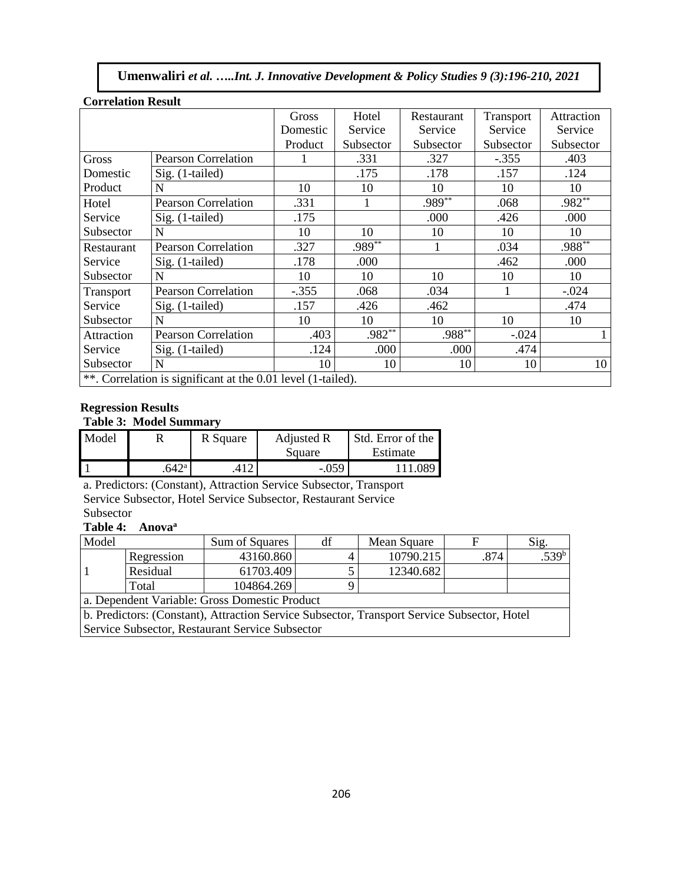| UULLUAUUN NUSUN                                              |                            |          |           |            |           |              |  |
|--------------------------------------------------------------|----------------------------|----------|-----------|------------|-----------|--------------|--|
|                                                              |                            | Gross    | Hotel     | Restaurant | Transport | Attraction   |  |
|                                                              |                            | Domestic | Service   | Service    | Service   | Service      |  |
|                                                              |                            | Product  | Subsector | Subsector  | Subsector | Subsector    |  |
| Gross                                                        | <b>Pearson Correlation</b> |          | .331      | .327       | $-.355$   | .403         |  |
| Domestic                                                     | Sig. (1-tailed)            |          | .175      | .178       | .157      | .124         |  |
| Product                                                      | N                          | 10       | 10        | 10         | 10        | 10           |  |
| Hotel                                                        | <b>Pearson Correlation</b> | .331     | 1         | .989**     | .068      | .982**       |  |
| Service                                                      | Sig. (1-tailed)            | .175     |           | .000       | .426      | .000         |  |
| Subsector                                                    | N                          | 10       | 10        | 10         | 10        | 10           |  |
| Restaurant                                                   | <b>Pearson Correlation</b> | .327     | $.989**$  |            | .034      | .988**       |  |
| Service                                                      | Sig. (1-tailed)            | .178     | .000      |            | .462      | .000         |  |
| Subsector                                                    | N                          | 10       | 10        | 10         | 10        | 10           |  |
| Transport                                                    | <b>Pearson Correlation</b> | $-.355$  | .068      | .034       | 1         | $-.024$      |  |
| Service                                                      | Sig. (1-tailed)            | .157     | .426      | .462       |           | .474         |  |
| Subsector                                                    | N                          | 10       | 10        | 10         | 10        | 10           |  |
| Attraction                                                   | <b>Pearson Correlation</b> | .403     | $.982**$  | $.988***$  | $-.024$   | $\mathbf{1}$ |  |
| Service                                                      | Sig. (1-tailed)            | .124     | .000      | .000       | .474      |              |  |
| Subsector                                                    | N                          | 10       | 10        | 10         | 10        | 10           |  |
| **. Correlation is significant at the 0.01 level (1-tailed). |                            |          |           |            |           |              |  |

#### **Correlation Result**

## **Regression Results**

## **Table 3: Model Summary**

| Model |               | R Square | <b>Adjusted R</b> | Std. Error of the |
|-------|---------------|----------|-------------------|-------------------|
|       |               |          | Square            | Estimate          |
|       | $642^{\circ}$ |          | $-0.059$          | 11.089            |

a. Predictors: (Constant), Attraction Service Subsector, Transport Service Subsector, Hotel Service Subsector, Restaurant Service Subsector

# **Table 4: Anova<sup>a</sup>**

| Model                                                                                       |            | Sum of Squares | df | Mean Square |      | $S_1g$ .          |  |
|---------------------------------------------------------------------------------------------|------------|----------------|----|-------------|------|-------------------|--|
|                                                                                             | Regression | 43160.860      |    | 10790.215   | .874 | .539 <sup>b</sup> |  |
|                                                                                             | Residual   | 61703.409      |    | 12340.682   |      |                   |  |
|                                                                                             | Total      | 104864.269     |    |             |      |                   |  |
| a. Dependent Variable: Gross Domestic Product                                               |            |                |    |             |      |                   |  |
| b. Predictors: (Constant), Attraction Service Subsector, Transport Service Subsector, Hotel |            |                |    |             |      |                   |  |

Service Subsector, Restaurant Service Subsector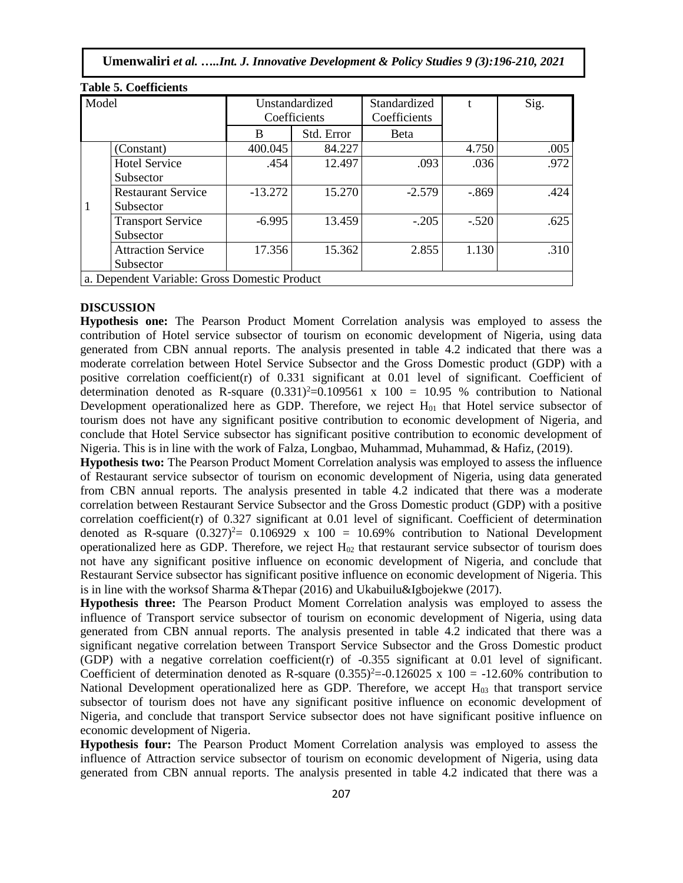| Model                                         |                           | Unstandardized<br>Coefficients |            | Standardized<br>Coefficients |         | Sig. |
|-----------------------------------------------|---------------------------|--------------------------------|------------|------------------------------|---------|------|
|                                               |                           | B                              | Std. Error | <b>B</b> eta                 |         |      |
|                                               | (Constant)                | 400.045                        | 84.227     |                              | 4.750   | .005 |
|                                               | <b>Hotel Service</b>      | .454                           | 12.497     | .093                         | .036    | .972 |
|                                               | Subsector                 |                                |            |                              |         |      |
|                                               | <b>Restaurant Service</b> | $-13.272$                      | 15.270     | $-2.579$                     | $-.869$ | .424 |
| 1                                             | Subsector                 |                                |            |                              |         |      |
|                                               | <b>Transport Service</b>  | $-6.995$                       | 13.459     | $-.205$                      | $-.520$ | .625 |
|                                               | Subsector                 |                                |            |                              |         |      |
|                                               | <b>Attraction Service</b> | 17.356                         | 15.362     | 2.855                        | 1.130   | .310 |
|                                               | Subsector                 |                                |            |                              |         |      |
| a. Dependent Variable: Gross Domestic Product |                           |                                |            |                              |         |      |

#### **Table 5. Coefficients**

#### **DISCUSSION**

**Hypothesis one:** The Pearson Product Moment Correlation analysis was employed to assess the contribution of Hotel service subsector of tourism on economic development of Nigeria, using data generated from CBN annual reports. The analysis presented in table 4.2 indicated that there was a moderate correlation between Hotel Service Subsector and the Gross Domestic product (GDP) with a positive correlation coefficient(r) of 0.331 significant at 0.01 level of significant. Coefficient of determination denoted as R-square  $(0.331)^2=0.109561 \times 100 = 10.95$  % contribution to National Development operationalized here as GDP. Therefore, we reject  $H_{01}$  that Hotel service subsector of tourism does not have any significant positive contribution to economic development of Nigeria, and conclude that Hotel Service subsector has significant positive contribution to economic development of Nigeria. This is in line with the work of Falza, Longbao, Muhammad, Muhammad, & Hafiz, (2019).

**Hypothesis two:** The Pearson Product Moment Correlation analysis was employed to assess the influence of Restaurant service subsector of tourism on economic development of Nigeria, using data generated from CBN annual reports. The analysis presented in table 4.2 indicated that there was a moderate correlation between Restaurant Service Subsector and the Gross Domestic product (GDP) with a positive correlation coefficient(r) of 0.327 significant at 0.01 level of significant. Coefficient of determination denoted as R-square  $(0.327)^2$  = 0.106929 x 100 = 10.69% contribution to National Development operationalized here as GDP. Therefore, we reject  $H_{02}$  that restaurant service subsector of tourism does not have any significant positive influence on economic development of Nigeria, and conclude that Restaurant Service subsector has significant positive influence on economic development of Nigeria. This is in line with the worksof Sharma &Thepar (2016) and Ukabuilu&Igbojekwe (2017).

**Hypothesis three:** The Pearson Product Moment Correlation analysis was employed to assess the influence of Transport service subsector of tourism on economic development of Nigeria, using data generated from CBN annual reports. The analysis presented in table 4.2 indicated that there was a significant negative correlation between Transport Service Subsector and the Gross Domestic product (GDP) with a negative correlation coefficient(r) of -0.355 significant at 0.01 level of significant. Coefficient of determination denoted as R-square  $(0.355)^2 = -0.126025 \times 100 = -12.60\%$  contribution to National Development operationalized here as GDP. Therefore, we accept  $H_{03}$  that transport service subsector of tourism does not have any significant positive influence on economic development of Nigeria, and conclude that transport Service subsector does not have significant positive influence on economic development of Nigeria.

**Hypothesis four:** The Pearson Product Moment Correlation analysis was employed to assess the influence of Attraction service subsector of tourism on economic development of Nigeria, using data generated from CBN annual reports. The analysis presented in table 4.2 indicated that there was a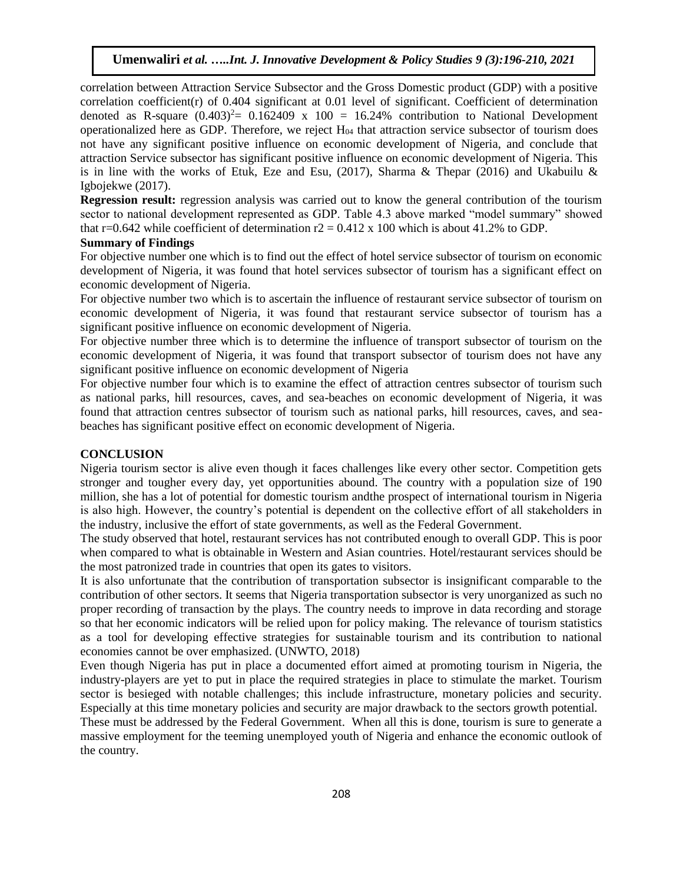correlation between Attraction Service Subsector and the Gross Domestic product (GDP) with a positive correlation coefficient(r) of 0.404 significant at 0.01 level of significant. Coefficient of determination denoted as R-square  $(0.403)^2$  = 0.162409 x 100 = 16.24% contribution to National Development operationalized here as GDP. Therefore, we reject  $H<sub>04</sub>$  that attraction service subsector of tourism does not have any significant positive influence on economic development of Nigeria, and conclude that attraction Service subsector has significant positive influence on economic development of Nigeria. This is in line with the works of Etuk, Eze and Esu, (2017), Sharma & Thepar (2016) and Ukabuilu & Igbojekwe (2017).

**Regression result:** regression analysis was carried out to know the general contribution of the tourism sector to national development represented as GDP. Table 4.3 above marked "model summary" showed that r=0.642 while coefficient of determination  $r2 = 0.412 \times 100$  which is about 41.2% to GDP.

## **Summary of Findings**

For objective number one which is to find out the effect of hotel service subsector of tourism on economic development of Nigeria, it was found that hotel services subsector of tourism has a significant effect on economic development of Nigeria.

For objective number two which is to ascertain the influence of restaurant service subsector of tourism on economic development of Nigeria, it was found that restaurant service subsector of tourism has a significant positive influence on economic development of Nigeria.

For objective number three which is to determine the influence of transport subsector of tourism on the economic development of Nigeria, it was found that transport subsector of tourism does not have any significant positive influence on economic development of Nigeria

For objective number four which is to examine the effect of attraction centres subsector of tourism such as national parks, hill resources, caves, and sea-beaches on economic development of Nigeria, it was found that attraction centres subsector of tourism such as national parks, hill resources, caves, and seabeaches has significant positive effect on economic development of Nigeria.

#### **CONCLUSION**

Nigeria tourism sector is alive even though it faces challenges like every other sector. Competition gets stronger and tougher every day, yet opportunities abound. The country with a population size of 190 million, she has a lot of potential for domestic tourism andthe prospect of international tourism in Nigeria is also high. However, the country's potential is dependent on the collective effort of all stakeholders in the industry, inclusive the effort of state governments, as well as the Federal Government.

The study observed that hotel, restaurant services has not contributed enough to overall GDP. This is poor when compared to what is obtainable in Western and Asian countries. Hotel/restaurant services should be the most patronized trade in countries that open its gates to visitors.

It is also unfortunate that the contribution of transportation subsector is insignificant comparable to the contribution of other sectors. It seems that Nigeria transportation subsector is very unorganized as such no proper recording of transaction by the plays. The country needs to improve in data recording and storage so that her economic indicators will be relied upon for policy making. The relevance of tourism statistics as a tool for developing effective strategies for sustainable tourism and its contribution to national economies cannot be over emphasized. (UNWTO, 2018)

Even though Nigeria has put in place a documented effort aimed at promoting tourism in Nigeria, the industry-players are yet to put in place the required strategies in place to stimulate the market. Tourism sector is besieged with notable challenges; this include infrastructure, monetary policies and security. Especially at this time monetary policies and security are major drawback to the sectors growth potential.

These must be addressed by the Federal Government. When all this is done, tourism is sure to generate a massive employment for the teeming unemployed youth of Nigeria and enhance the economic outlook of the country.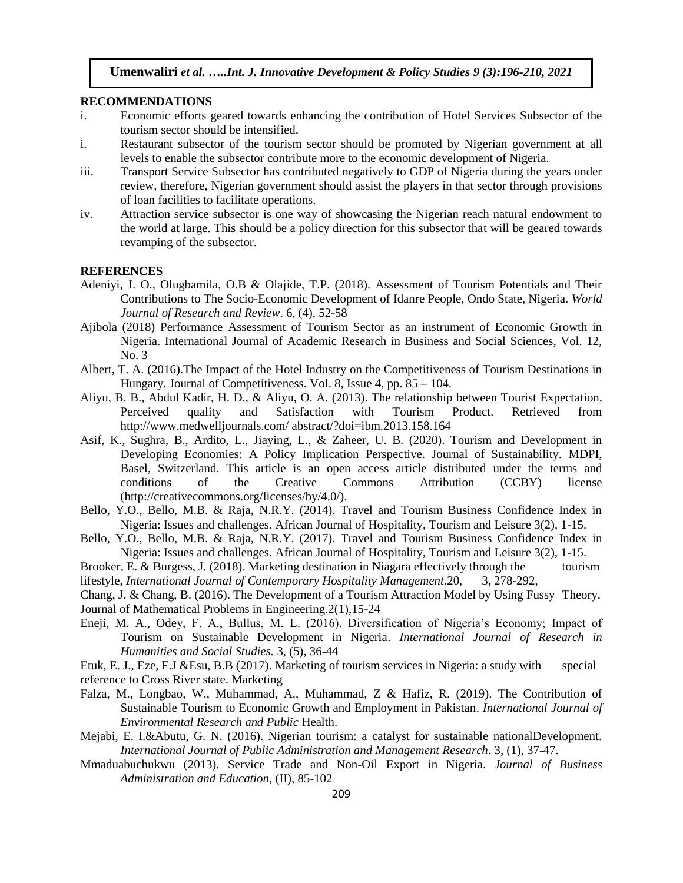#### **RECOMMENDATIONS**

- i. Economic efforts geared towards enhancing the contribution of Hotel Services Subsector of the tourism sector should be intensified.
- i. Restaurant subsector of the tourism sector should be promoted by Nigerian government at all levels to enable the subsector contribute more to the economic development of Nigeria.
- iii. Transport Service Subsector has contributed negatively to GDP of Nigeria during the years under review, therefore, Nigerian government should assist the players in that sector through provisions of loan facilities to facilitate operations.
- iv. Attraction service subsector is one way of showcasing the Nigerian reach natural endowment to the world at large. This should be a policy direction for this subsector that will be geared towards revamping of the subsector.

# **REFERENCES**

- Adeniyi, J. O., Olugbamila, O.B & Olajide, T.P. (2018). Assessment of Tourism Potentials and Their Contributions to The Socio-Economic Development of Idanre People, Ondo State, Nigeria. *World Journal of Research and Review*. 6, (4), 52-58
- Ajibola (2018) Performance Assessment of Tourism Sector as an instrument of Economic Growth in Nigeria. International Journal of Academic Research in Business and Social Sciences, Vol. 12, No. 3
- Albert, T. A. (2016).The Impact of the Hotel Industry on the Competitiveness of Tourism Destinations in Hungary. Journal of Competitiveness. Vol. 8, Issue 4, pp. 85 – 104.
- Aliyu, B. B., Abdul Kadir, H. D., & Aliyu, O. A. (2013). The relationship between Tourist Expectation, Perceived quality and Satisfaction with Tourism Product. Retrieved from http://www.medwelljournals.com/ abstract/?doi=ibm.2013.158.164
- Asif, K., Sughra, B., Ardito, L., Jiaying, L., & Zaheer, U. B. (2020). Tourism and Development in Developing Economies: A Policy Implication Perspective. Journal of Sustainability. MDPI, Basel, Switzerland. This article is an open access article distributed under the terms and conditions of the Creative Commons Attribution (CCBY) license (http://creativecommons.org/licenses/by/4.0/).
- Bello, Y.O., Bello, M.B. & Raja, N.R.Y. (2014). Travel and Tourism Business Confidence Index in Nigeria: Issues and challenges. African Journal of Hospitality, Tourism and Leisure 3(2), 1-15.
- Bello, Y.O., Bello, M.B. & Raja, N.R.Y. (2017). Travel and Tourism Business Confidence Index in Nigeria: Issues and challenges. African Journal of Hospitality, Tourism and Leisure 3(2), 1-15.
- Brooker, E. & Burgess, J. (2018). Marketing destination in Niagara effectively through the tourism lifestyle, *International Journal of Contemporary Hospitality Management*.20, 3, 278-292,
- Chang, J. & Chang, B. (2016). The Development of a Tourism Attraction Model by Using Fussy Theory. Journal of Mathematical Problems in Engineering.2(1),15-24
- Eneji, M. A., Odey, F. A., Bullus, M. L. (2016). Diversification of Nigeria's Economy; Impact of Tourism on Sustainable Development in Nigeria. *International Journal of Research in Humanities and Social Studies.* 3, (5), 36-44
- Etuk, E. J., Eze, F.J &Esu, B.B (2017). Marketing of tourism services in Nigeria: a study with special reference to Cross River state. Marketing
- Falza, M., Longbao, W., Muhammad, A., Muhammad, Z & Hafiz, R. (2019). The Contribution of Sustainable Tourism to Economic Growth and Employment in Pakistan. *International Journal of Environmental Research and Public* Health.
- Mejabi, E. I.&Abutu, G. N. (2016). Nigerian tourism: a catalyst for sustainable nationalDevelopment. *International Journal of Public Administration and Management Research*. 3, (1), 37-47.
- Mmaduabuchukwu (2013). Service Trade and Non-Oil Export in Nigeria. *Journal of Business Administration and Education,* (II), 85-102